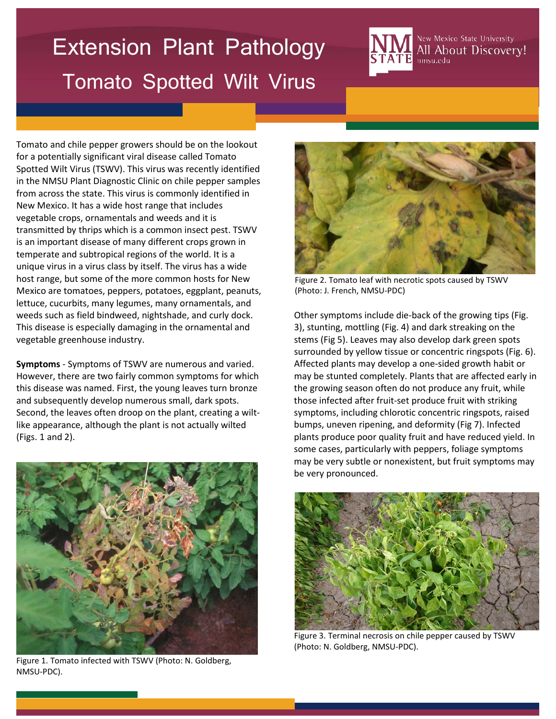## Extension Plant Pathology Tomato Spotted Wilt Virus

New Mexico State University All About Discovery! nmsu.edu

Tomato and chile pepper growers should be on the lookout for a potentially significant viral disease called Tomato Spotted Wilt Virus (TSWV). This virus was recently identified in the NMSU Plant Diagnostic Clinic on chile pepper samples from across the state. This virus is commonly identified in New Mexico. It has a wide host range that includes vegetable crops, ornamentals and weeds and it is transmitted by thrips which is a common insect pest. TSWV is an important disease of many different crops grown in temperate and subtropical regions of the world. It is a unique virus in a virus class by itself. The virus has a wide host range, but some of the more common hosts for New Mexico are tomatoes, peppers, potatoes, eggplant, peanuts, lettuce, cucurbits, many legumes, many ornamentals, and weeds such as field bindweed, nightshade, and curly dock. This disease is especially damaging in the ornamental and vegetable greenhouse industry.

**Symptoms** - Symptoms of TSWV are numerous and varied. However, there are two fairly common symptoms for which this disease was named. First, the young leaves turn bronze and subsequently develop numerous small, dark spots. Second, the leaves often droop on the plant, creating a wiltlike appearance, although the plant is not actually wilted (Figs. 1 and 2).



Figure 1. Tomato infected with TSWV (Photo: N. Goldberg, NMSU-PDC).



Figure 2. Tomato leaf with necrotic spots caused by TSWV (Photo: J. French, NMSU-PDC)

Other symptoms include die-back of the growing tips (Fig. 3), stunting, mottling (Fig. 4) and dark streaking on the stems (Fig 5). Leaves may also develop dark green spots surrounded by yellow tissue or concentric ringspots (Fig. 6). Affected plants may develop a one-sided growth habit or may be stunted completely. Plants that are affected early in the growing season often do not produce any fruit, while those infected after fruit-set produce fruit with striking symptoms, including chlorotic concentric ringspots, raised bumps, uneven ripening, and deformity (Fig 7). Infected plants produce poor quality fruit and have reduced yield. In some cases, particularly with peppers, foliage symptoms may be very subtle or nonexistent, but fruit symptoms may be very pronounced.



Figure 3. Terminal necrosis on chile pepper caused by TSWV (Photo: N. Goldberg, NMSU-PDC).